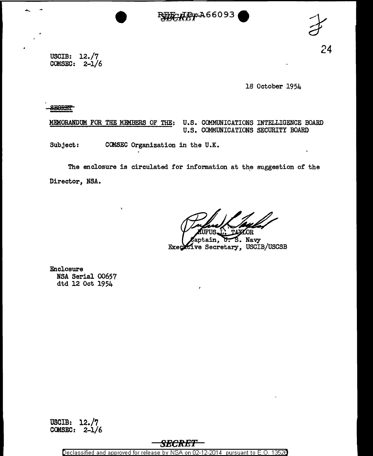



USCIB: 12./7 COMSEC: 2-1/6

18 October 1954

**SEGRET** 

 $\frac{1}{\sqrt{2}}$ 

MEMORANDUM FOR THE MEMBERS OF THE: U.S. COMMUNICATIONS INTELLIGENCE BOARD U.S. COMMUNICATIONS SECURITY BOARD

Subject: CCMSEC Organization in the U.K.

The enclosure is circulated for information at the suggestion of the Director, NSA.

 ${\tt ptain,}$ S. Navy Executive Secretary, USCIB/USCSB

Enclosure NSA Serial 00657 dtd 12 Oct 1954

USCIB: 12./7 COMSEC:  $2-1/6$ 

**SECRE'I** 

Declassified and approved for release by NSA on 02-12-2014 pursuant to E.O. 13526